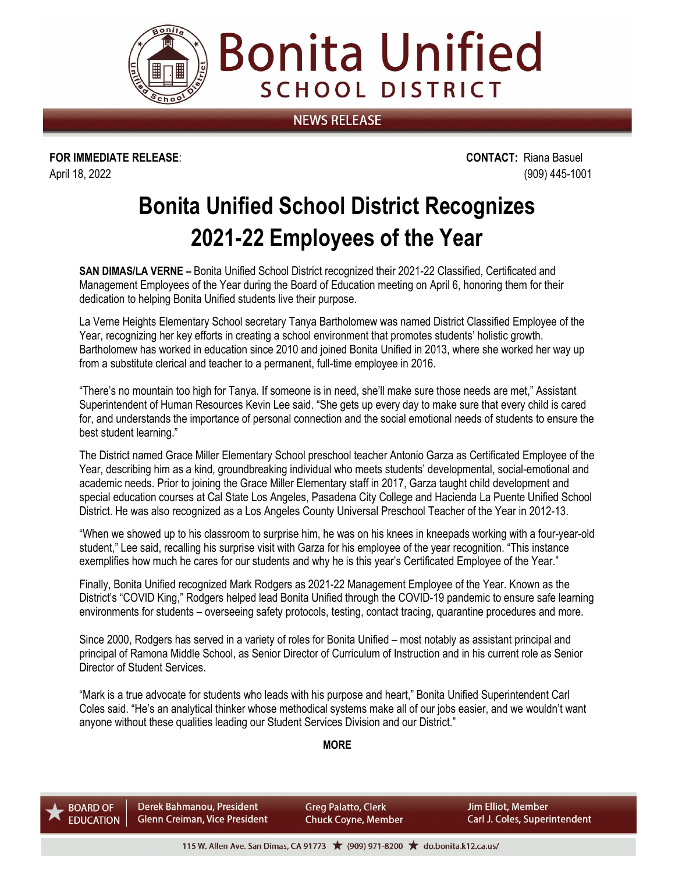

**NEWS RELEASE** 

**Bonita Unified** 

**SCHOOL DISTRICT** 

**FOR IMMEDIATE RELEASE**: **CONTACT:** Riana Basuel April 18, 2022 (909) 445-1001

## **Bonita Unified School District Recognizes 2021-22 Employees of the Year**

**SAN DIMAS/LA VERNE –** Bonita Unified School District recognized their 2021-22 Classified, Certificated and Management Employees of the Year during the Board of Education meeting on April 6, honoring them for their dedication to helping Bonita Unified students live their purpose.

La Verne Heights Elementary School secretary Tanya Bartholomew was named District Classified Employee of the Year, recognizing her key efforts in creating a school environment that promotes students' holistic growth. Bartholomew has worked in education since 2010 and joined Bonita Unified in 2013, where she worked her way up from a substitute clerical and teacher to a permanent, full-time employee in 2016.

"There's no mountain too high for Tanya. If someone is in need, she'll make sure those needs are met," Assistant Superintendent of Human Resources Kevin Lee said. "She gets up every day to make sure that every child is cared for, and understands the importance of personal connection and the social emotional needs of students to ensure the best student learning."

The District named Grace Miller Elementary School preschool teacher Antonio Garza as Certificated Employee of the Year, describing him as a kind, groundbreaking individual who meets students' developmental, social-emotional and academic needs. Prior to joining the Grace Miller Elementary staff in 2017, Garza taught child development and special education courses at Cal State Los Angeles, Pasadena City College and Hacienda La Puente Unified School District. He was also recognized as a Los Angeles County Universal Preschool Teacher of the Year in 2012-13.

"When we showed up to his classroom to surprise him, he was on his knees in kneepads working with a four-year-old student," Lee said, recalling his surprise visit with Garza for his employee of the year recognition. "This instance exemplifies how much he cares for our students and why he is this year's Certificated Employee of the Year."

Finally, Bonita Unified recognized Mark Rodgers as 2021-22 Management Employee of the Year. Known as the District's "COVID King," Rodgers helped lead Bonita Unified through the COVID-19 pandemic to ensure safe learning environments for students – overseeing safety protocols, testing, contact tracing, quarantine procedures and more.

Since 2000, Rodgers has served in a variety of roles for Bonita Unified – most notably as assistant principal and principal of Ramona Middle School, as Senior Director of Curriculum of Instruction and in his current role as Senior Director of Student Services.

"Mark is a true advocate for students who leads with his purpose and heart," Bonita Unified Superintendent Carl Coles said. "He's an analytical thinker whose methodical systems make all of our jobs easier, and we wouldn't want anyone without these qualities leading our Student Services Division and our District."

**MORE**